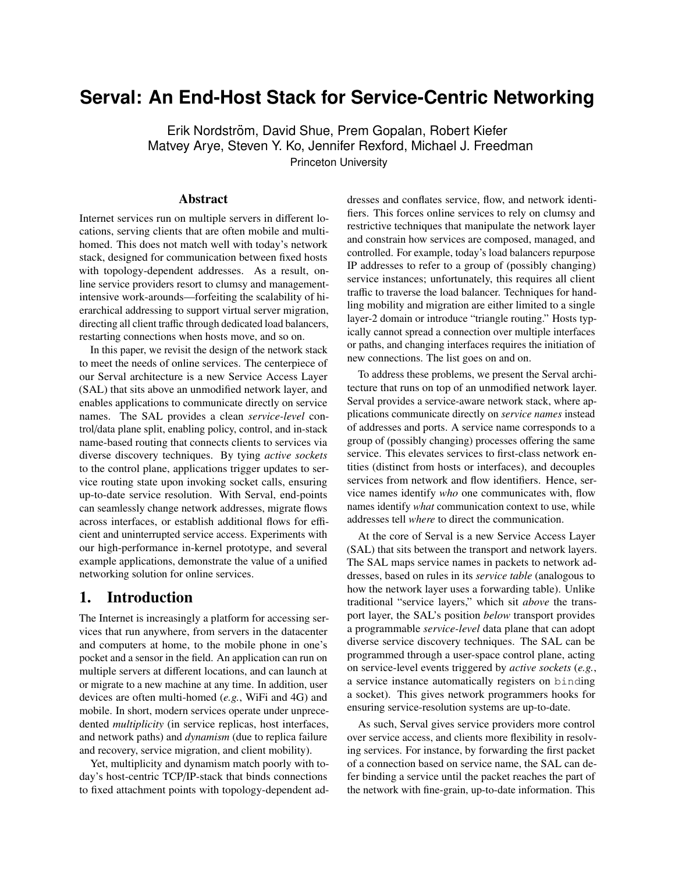# **Serval: An End-Host Stack for Service-Centric Networking**

Erik Nordström, David Shue, Prem Gopalan, Robert Kiefer Matvey Arye, Steven Y. Ko, Jennifer Rexford, Michael J. Freedman Princeton University

### Abstract

Internet services run on multiple servers in different locations, serving clients that are often mobile and multihomed. This does not match well with today's network stack, designed for communication between fixed hosts with topology-dependent addresses. As a result, online service providers resort to clumsy and managementintensive work-arounds—forfeiting the scalability of hierarchical addressing to support virtual server migration, directing all client traffic through dedicated load balancers, restarting connections when hosts move, and so on.

In this paper, we revisit the design of the network stack to meet the needs of online services. The centerpiece of our Serval architecture is a new Service Access Layer (SAL) that sits above an unmodified network layer, and enables applications to communicate directly on service names. The SAL provides a clean *service-level* control/data plane split, enabling policy, control, and in-stack name-based routing that connects clients to services via diverse discovery techniques. By tying *active sockets* to the control plane, applications trigger updates to service routing state upon invoking socket calls, ensuring up-to-date service resolution. With Serval, end-points can seamlessly change network addresses, migrate flows across interfaces, or establish additional flows for efficient and uninterrupted service access. Experiments with our high-performance in-kernel prototype, and several example applications, demonstrate the value of a unified networking solution for online services.

# 1. Introduction

The Internet is increasingly a platform for accessing services that run anywhere, from servers in the datacenter and computers at home, to the mobile phone in one's pocket and a sensor in the field. An application can run on multiple servers at different locations, and can launch at or migrate to a new machine at any time. In addition, user devices are often multi-homed (*e.g.*, WiFi and 4G) and mobile. In short, modern services operate under unprecedented *multiplicity* (in service replicas, host interfaces, and network paths) and *dynamism* (due to replica failure and recovery, service migration, and client mobility).

Yet, multiplicity and dynamism match poorly with today's host-centric TCP/IP-stack that binds connections to fixed attachment points with topology-dependent addresses and conflates service, flow, and network identifiers. This forces online services to rely on clumsy and restrictive techniques that manipulate the network layer and constrain how services are composed, managed, and controlled. For example, today's load balancers repurpose IP addresses to refer to a group of (possibly changing) service instances; unfortunately, this requires all client traffic to traverse the load balancer. Techniques for handling mobility and migration are either limited to a single layer-2 domain or introduce "triangle routing." Hosts typically cannot spread a connection over multiple interfaces or paths, and changing interfaces requires the initiation of new connections. The list goes on and on.

To address these problems, we present the Serval architecture that runs on top of an unmodified network layer. Serval provides a service-aware network stack, where applications communicate directly on *service names* instead of addresses and ports. A service name corresponds to a group of (possibly changing) processes offering the same service. This elevates services to first-class network entities (distinct from hosts or interfaces), and decouples services from network and flow identifiers. Hence, service names identify *who* one communicates with, flow names identify *what* communication context to use, while addresses tell *where* to direct the communication.

At the core of Serval is a new Service Access Layer (SAL) that sits between the transport and network layers. The SAL maps service names in packets to network addresses, based on rules in its *service table* (analogous to how the network layer uses a forwarding table). Unlike traditional "service layers," which sit *above* the transport layer, the SAL's position *below* transport provides a programmable *service-level* data plane that can adopt diverse service discovery techniques. The SAL can be programmed through a user-space control plane, acting on service-level events triggered by *active sockets* (*e.g.*, a service instance automatically registers on binding a socket). This gives network programmers hooks for ensuring service-resolution systems are up-to-date.

As such, Serval gives service providers more control over service access, and clients more flexibility in resolving services. For instance, by forwarding the first packet of a connection based on service name, the SAL can defer binding a service until the packet reaches the part of the network with fine-grain, up-to-date information. This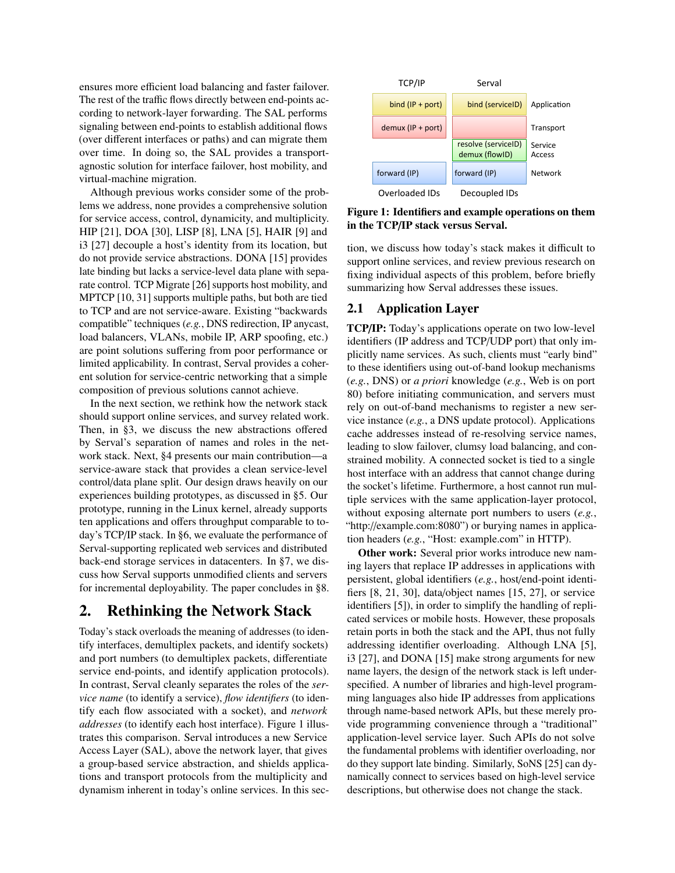ensures more efficient load balancing and faster failover. The rest of the traffic flows directly between end-points according to network-layer forwarding. The SAL performs signaling between end-points to establish additional flows (over different interfaces or paths) and can migrate them over time. In doing so, the SAL provides a transportagnostic solution for interface failover, host mobility, and virtual-machine migration.

Although previous works consider some of the problems we address, none provides a comprehensive solution for service access, control, dynamicity, and multiplicity. HIP [\[21\]](#page-13-0), DOA [\[30\]](#page-13-1), LISP [\[8\]](#page-13-2), LNA [\[5\]](#page-13-3), HAIR [\[9\]](#page-13-4) and i3 [\[27\]](#page-13-5) decouple a host's identity from its location, but do not provide service abstractions. DONA [\[15\]](#page-13-6) provides late binding but lacks a service-level data plane with separate control. TCP Migrate [\[26\]](#page-13-7) supports host mobility, and MPTCP [\[10,](#page-13-8) [31\]](#page-13-9) supports multiple paths, but both are tied to TCP and are not service-aware. Existing "backwards compatible" techniques (*e.g.*, DNS redirection, IP anycast, load balancers, VLANs, mobile IP, ARP spoofing, etc.) are point solutions suffering from poor performance or limited applicability. In contrast, Serval provides a coherent solution for service-centric networking that a simple composition of previous solutions cannot achieve.

In the next section, we rethink how the network stack should support online services, and survey related work. Then, in [§3,](#page-2-0) we discuss the new abstractions offered by Serval's separation of names and roles in the network stack. Next, [§4](#page-4-0) presents our main contribution—a service-aware stack that provides a clean service-level control/data plane split. Our design draws heavily on our experiences building prototypes, as discussed in [§5.](#page-8-0) Our prototype, running in the Linux kernel, already supports ten applications and offers throughput comparable to today's TCP/IP stack. In [§6,](#page-9-0) we evaluate the performance of Serval-supporting replicated web services and distributed back-end storage services in datacenters. In [§7,](#page-12-0) we discuss how Serval supports unmodified clients and servers for incremental deployability. The paper concludes in [§8.](#page-13-10)

# 2. Rethinking the Network Stack

Today's stack overloads the meaning of addresses (to identify interfaces, demultiplex packets, and identify sockets) and port numbers (to demultiplex packets, differentiate service end-points, and identify application protocols). In contrast, Serval cleanly separates the roles of the *service name* (to identify a service), *flow identifiers* (to identify each flow associated with a socket), and *network addresses* (to identify each host interface). Figure [1](#page-1-0) illustrates this comparison. Serval introduces a new Service Access Layer (SAL), above the network layer, that gives a group-based service abstraction, and shields applications and transport protocols from the multiplicity and dynamism inherent in today's online services. In this sec-

<span id="page-1-0"></span>

Figure 1: Identifiers and example operations on them in the TCP/IP stack versus Serval.

tion, we discuss how today's stack makes it difficult to support online services, and review previous research on fixing individual aspects of this problem, before briefly summarizing how Serval addresses these issues.

### 2.1 Application Layer

TCP/IP: Today's applications operate on two low-level identifiers (IP address and TCP/UDP port) that only implicitly name services. As such, clients must "early bind" to these identifiers using out-of-band lookup mechanisms (*e.g.*, DNS) or *a priori* knowledge (*e.g.*, Web is on port 80) before initiating communication, and servers must rely on out-of-band mechanisms to register a new service instance (*e.g.*, a DNS update protocol). Applications cache addresses instead of re-resolving service names, leading to slow failover, clumsy load balancing, and constrained mobility. A connected socket is tied to a single host interface with an address that cannot change during the socket's lifetime. Furthermore, a host cannot run multiple services with the same application-layer protocol, without exposing alternate port numbers to users (*e.g.*, "http://example.com:8080") or burying names in application headers (*e.g.*, "Host: example.com" in HTTP).

Other work: Several prior works introduce new naming layers that replace IP addresses in applications with persistent, global identifiers (*e.g.*, host/end-point identifiers [\[8,](#page-13-2) [21,](#page-13-0) [30\]](#page-13-1), data/object names [\[15,](#page-13-6) [27\]](#page-13-5), or service identifiers [\[5\]](#page-13-3)), in order to simplify the handling of replicated services or mobile hosts. However, these proposals retain ports in both the stack and the API, thus not fully addressing identifier overloading. Although LNA [\[5\]](#page-13-3), i3 [\[27\]](#page-13-5), and DONA [\[15\]](#page-13-6) make strong arguments for new name layers, the design of the network stack is left underspecified. A number of libraries and high-level programming languages also hide IP addresses from applications through name-based network APIs, but these merely provide programming convenience through a "traditional" application-level service layer. Such APIs do not solve the fundamental problems with identifier overloading, nor do they support late binding. Similarly, SoNS [\[25\]](#page-13-11) can dynamically connect to services based on high-level service descriptions, but otherwise does not change the stack.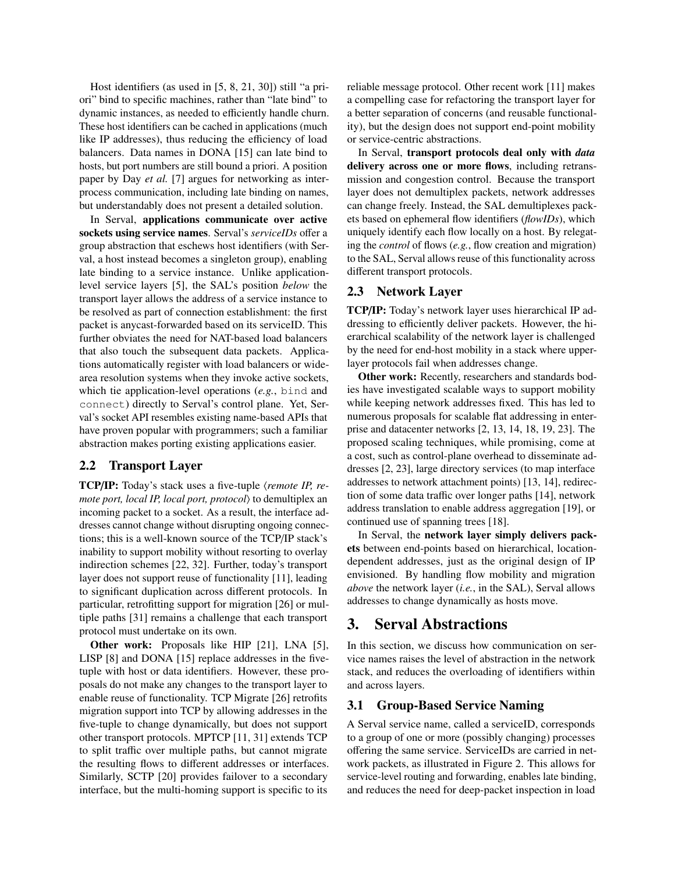Host identifiers (as used in [\[5,](#page-13-3) [8,](#page-13-2) [21,](#page-13-0) [30\]](#page-13-1)) still "a priori" bind to specific machines, rather than "late bind" to dynamic instances, as needed to efficiently handle churn. These host identifiers can be cached in applications (much like IP addresses), thus reducing the efficiency of load balancers. Data names in DONA [\[15\]](#page-13-6) can late bind to hosts, but port numbers are still bound a priori. A position paper by Day *et al.* [\[7\]](#page-13-12) argues for networking as interprocess communication, including late binding on names, but understandably does not present a detailed solution.

In Serval, applications communicate over active sockets using service names. Serval's *serviceIDs* offer a group abstraction that eschews host identifiers (with Serval, a host instead becomes a singleton group), enabling late binding to a service instance. Unlike applicationlevel service layers [\[5\]](#page-13-3), the SAL's position *below* the transport layer allows the address of a service instance to be resolved as part of connection establishment: the first packet is anycast-forwarded based on its serviceID. This further obviates the need for NAT-based load balancers that also touch the subsequent data packets. Applications automatically register with load balancers or widearea resolution systems when they invoke active sockets, which tie application-level operations (*e.g.*, bind and connect) directly to Serval's control plane. Yet, Serval's socket API resembles existing name-based APIs that have proven popular with programmers; such a familiar abstraction makes porting existing applications easier.

#### 2.2 Transport Layer

TCP/IP: Today's stack uses a five-tuple (*remote IP, remote port, local IP, local port, protocol*) to demultiplex an incoming packet to a socket. As a result, the interface addresses cannot change without disrupting ongoing connections; this is a well-known source of the TCP/IP stack's inability to support mobility without resorting to overlay indirection schemes [\[22,](#page-13-13) [32\]](#page-13-14). Further, today's transport layer does not support reuse of functionality [\[11\]](#page-13-15), leading to significant duplication across different protocols. In particular, retrofitting support for migration [\[26\]](#page-13-7) or multiple paths [\[31\]](#page-13-9) remains a challenge that each transport protocol must undertake on its own.

Other work: Proposals like HIP [\[21\]](#page-13-0), LNA [\[5\]](#page-13-3), LISP [\[8\]](#page-13-2) and DONA [\[15\]](#page-13-6) replace addresses in the fivetuple with host or data identifiers. However, these proposals do not make any changes to the transport layer to enable reuse of functionality. TCP Migrate [\[26\]](#page-13-7) retrofits migration support into TCP by allowing addresses in the five-tuple to change dynamically, but does not support other transport protocols. MPTCP [\[11,](#page-13-15) [31\]](#page-13-9) extends TCP to split traffic over multiple paths, but cannot migrate the resulting flows to different addresses or interfaces. Similarly, SCTP [\[20\]](#page-13-16) provides failover to a secondary interface, but the multi-homing support is specific to its reliable message protocol. Other recent work [\[11\]](#page-13-15) makes a compelling case for refactoring the transport layer for a better separation of concerns (and reusable functionality), but the design does not support end-point mobility or service-centric abstractions.

In Serval, transport protocols deal only with *data* delivery across one or more flows, including retransmission and congestion control. Because the transport layer does not demultiplex packets, network addresses can change freely. Instead, the SAL demultiplexes packets based on ephemeral flow identifiers (*flowIDs*), which uniquely identify each flow locally on a host. By relegating the *control* of flows (*e.g.*, flow creation and migration) to the SAL, Serval allows reuse of this functionality across different transport protocols.

#### 2.3 Network Layer

TCP/IP: Today's network layer uses hierarchical IP addressing to efficiently deliver packets. However, the hierarchical scalability of the network layer is challenged by the need for end-host mobility in a stack where upperlayer protocols fail when addresses change.

Other work: Recently, researchers and standards bodies have investigated scalable ways to support mobility while keeping network addresses fixed. This has led to numerous proposals for scalable flat addressing in enterprise and datacenter networks [\[2,](#page-13-17) [13,](#page-13-18) [14,](#page-13-19) [18,](#page-13-20) [19,](#page-13-21) [23\]](#page-13-22). The proposed scaling techniques, while promising, come at a cost, such as control-plane overhead to disseminate addresses [\[2,](#page-13-17) [23\]](#page-13-22), large directory services (to map interface addresses to network attachment points) [\[13,](#page-13-18) [14\]](#page-13-19), redirection of some data traffic over longer paths [\[14\]](#page-13-19), network address translation to enable address aggregation [\[19\]](#page-13-21), or continued use of spanning trees [\[18\]](#page-13-20).

In Serval, the network layer simply delivers packets between end-points based on hierarchical, locationdependent addresses, just as the original design of IP envisioned. By handling flow mobility and migration *above* the network layer (*i.e.*, in the SAL), Serval allows addresses to change dynamically as hosts move.

### <span id="page-2-0"></span>3. Serval Abstractions

In this section, we discuss how communication on service names raises the level of abstraction in the network stack, and reduces the overloading of identifiers within and across layers.

#### <span id="page-2-1"></span>3.1 Group-Based Service Naming

A Serval service name, called a serviceID, corresponds to a group of one or more (possibly changing) processes offering the same service. ServiceIDs are carried in network packets, as illustrated in Figure [2.](#page-3-0) This allows for service-level routing and forwarding, enables late binding, and reduces the need for deep-packet inspection in load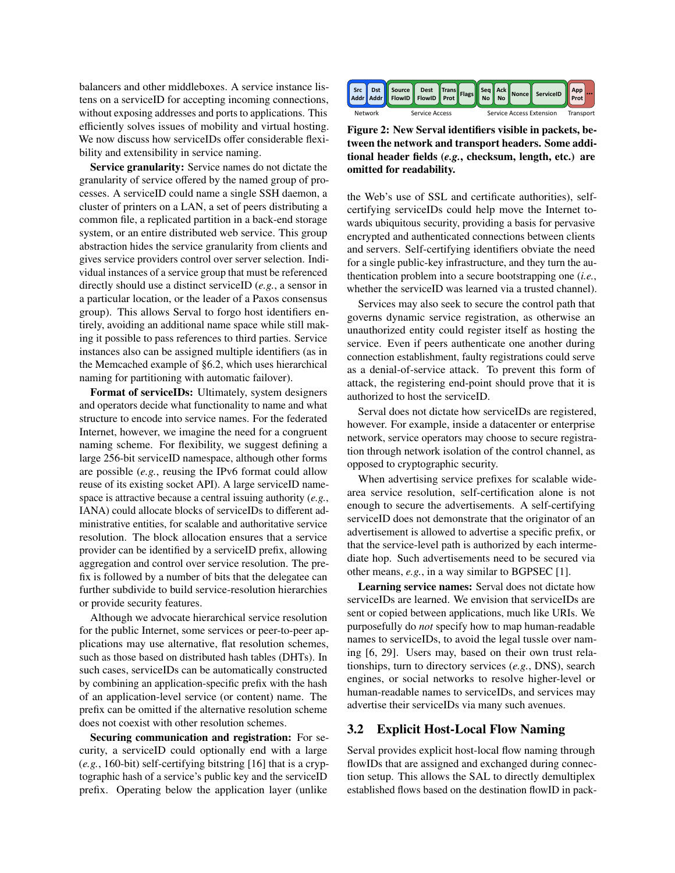balancers and other middleboxes. A service instance listens on a serviceID for accepting incoming connections, without exposing addresses and ports to applications. This efficiently solves issues of mobility and virtual hosting. We now discuss how serviceIDs offer considerable flexibility and extensibility in service naming.

Service granularity: Service names do not dictate the granularity of service offered by the named group of processes. A serviceID could name a single SSH daemon, a cluster of printers on a LAN, a set of peers distributing a common file, a replicated partition in a back-end storage system, or an entire distributed web service. This group abstraction hides the service granularity from clients and gives service providers control over server selection. Individual instances of a service group that must be referenced directly should use a distinct serviceID (*e.g.*, a sensor in a particular location, or the leader of a Paxos consensus group). This allows Serval to forgo host identifiers entirely, avoiding an additional name space while still making it possible to pass references to third parties. Service instances also can be assigned multiple identifiers (as in the Memcached example of [§6.2,](#page-11-0) which uses hierarchical naming for partitioning with automatic failover).

Format of serviceIDs: Ultimately, system designers and operators decide what functionality to name and what structure to encode into service names. For the federated Internet, however, we imagine the need for a congruent naming scheme. For flexibility, we suggest defining a large 256-bit serviceID namespace, although other forms are possible (*e.g.*, reusing the IPv6 format could allow reuse of its existing socket API). A large serviceID namespace is attractive because a central issuing authority (*e.g.*, IANA) could allocate blocks of serviceIDs to different administrative entities, for scalable and authoritative service resolution. The block allocation ensures that a service provider can be identified by a serviceID prefix, allowing aggregation and control over service resolution. The prefix is followed by a number of bits that the delegatee can further subdivide to build service-resolution hierarchies or provide security features.

Although we advocate hierarchical service resolution for the public Internet, some services or peer-to-peer applications may use alternative, flat resolution schemes, such as those based on distributed hash tables (DHTs). In such cases, serviceIDs can be automatically constructed by combining an application-specific prefix with the hash of an application-level service (or content) name. The prefix can be omitted if the alternative resolution scheme does not coexist with other resolution schemes.

Securing communication and registration: For security, a serviceID could optionally end with a large (*e.g.*, 160-bit) self-certifying bitstring [\[16\]](#page-13-23) that is a cryptographic hash of a service's public key and the serviceID prefix. Operating below the application layer (unlike

<span id="page-3-0"></span>

Figure 2: New Serval identifiers visible in packets, between the network and transport headers. Some additional header fields (*e.g.*, checksum, length, etc.) are omitted for readability.

the Web's use of SSL and certificate authorities), selfcertifying serviceIDs could help move the Internet towards ubiquitous security, providing a basis for pervasive encrypted and authenticated connections between clients and servers. Self-certifying identifiers obviate the need for a single public-key infrastructure, and they turn the authentication problem into a secure bootstrapping one (*i.e.*, whether the serviceID was learned via a trusted channel).

Services may also seek to secure the control path that governs dynamic service registration, as otherwise an unauthorized entity could register itself as hosting the service. Even if peers authenticate one another during connection establishment, faulty registrations could serve as a denial-of-service attack. To prevent this form of attack, the registering end-point should prove that it is authorized to host the serviceID.

Serval does not dictate how serviceIDs are registered, however. For example, inside a datacenter or enterprise network, service operators may choose to secure registration through network isolation of the control channel, as opposed to cryptographic security.

When advertising service prefixes for scalable widearea service resolution, self-certification alone is not enough to secure the advertisements. A self-certifying serviceID does not demonstrate that the originator of an advertisement is allowed to advertise a specific prefix, or that the service-level path is authorized by each intermediate hop. Such advertisements need to be secured via other means, *e.g.*, in a way similar to BGPSEC [\[1\]](#page-13-24).

Learning service names: Serval does not dictate how serviceIDs are learned. We envision that serviceIDs are sent or copied between applications, much like URIs. We purposefully do *not* specify how to map human-readable names to serviceIDs, to avoid the legal tussle over naming [\[6,](#page-13-25) [29\]](#page-13-26). Users may, based on their own trust relationships, turn to directory services (*e.g.*, DNS), search engines, or social networks to resolve higher-level or human-readable names to serviceIDs, and services may advertise their serviceIDs via many such avenues.

#### 3.2 Explicit Host-Local Flow Naming

Serval provides explicit host-local flow naming through flowIDs that are assigned and exchanged during connection setup. This allows the SAL to directly demultiplex established flows based on the destination flowID in pack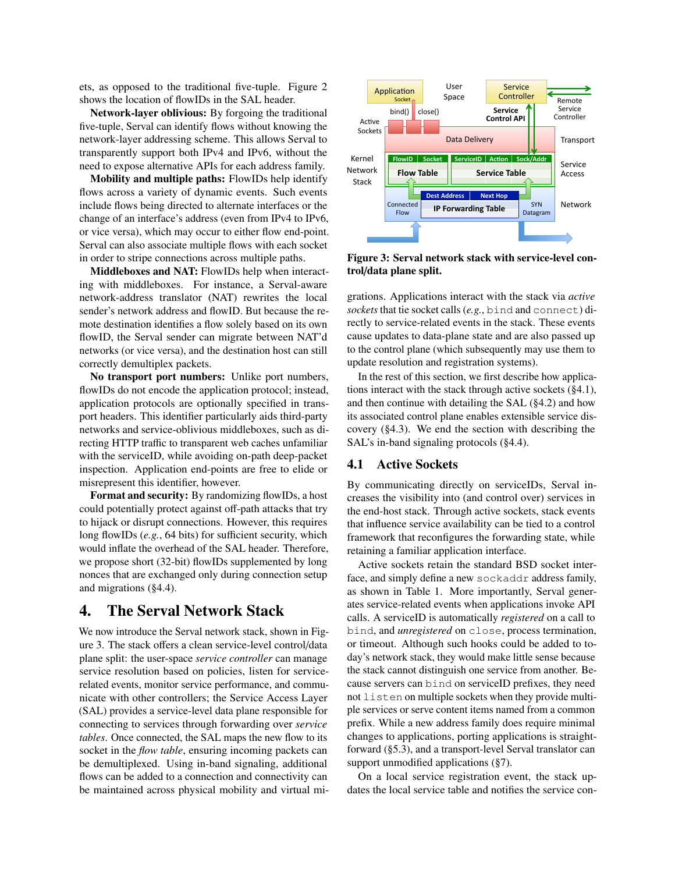ets, as opposed to the traditional five-tuple. Figure [2](#page-3-0) shows the location of flowIDs in the SAL header.

Network-layer oblivious: By forgoing the traditional five-tuple, Serval can identify flows without knowing the network-layer addressing scheme. This allows Serval to transparently support both IPv4 and IPv6, without the need to expose alternative APIs for each address family.

Mobility and multiple paths: FlowIDs help identify flows across a variety of dynamic events. Such events include flows being directed to alternate interfaces or the change of an interface's address (even from IPv4 to IPv6, or vice versa), which may occur to either flow end-point. Serval can also associate multiple flows with each socket in order to stripe connections across multiple paths.

Middleboxes and NAT: FlowIDs help when interacting with middleboxes. For instance, a Serval-aware network-address translator (NAT) rewrites the local sender's network address and flowID. But because the remote destination identifies a flow solely based on its own flowID, the Serval sender can migrate between NAT'd networks (or vice versa), and the destination host can still correctly demultiplex packets.

No transport port numbers: Unlike port numbers, flowIDs do not encode the application protocol; instead, application protocols are optionally specified in transport headers. This identifier particularly aids third-party networks and service-oblivious middleboxes, such as directing HTTP traffic to transparent web caches unfamiliar with the serviceID, while avoiding on-path deep-packet inspection. Application end-points are free to elide or misrepresent this identifier, however.

Format and security: By randomizing flowIDs, a host could potentially protect against off-path attacks that try to hijack or disrupt connections. However, this requires long flowIDs (*e.g.*, 64 bits) for sufficient security, which would inflate the overhead of the SAL header. Therefore, we propose short (32-bit) flowIDs supplemented by long nonces that are exchanged only during connection setup and migrations ([§4.4\)](#page-7-0).

### <span id="page-4-0"></span>4. The Serval Network Stack

We now introduce the Serval network stack, shown in Figure [3.](#page-4-1) The stack offers a clean service-level control/data plane split: the user-space *service controller* can manage service resolution based on policies, listen for servicerelated events, monitor service performance, and communicate with other controllers; the Service Access Layer (SAL) provides a service-level data plane responsible for connecting to services through forwarding over *service tables*. Once connected, the SAL maps the new flow to its socket in the *flow table*, ensuring incoming packets can be demultiplexed. Using in-band signaling, additional flows can be added to a connection and connectivity can be maintained across physical mobility and virtual mi-

<span id="page-4-1"></span>

Figure 3: Serval network stack with service-level control/data plane split.

grations. Applications interact with the stack via *active sockets* that tie socket calls (*e.g.*, bind and connect) directly to service-related events in the stack. These events cause updates to data-plane state and are also passed up to the control plane (which subsequently may use them to update resolution and registration systems).

In the rest of this section, we first describe how applications interact with the stack through active sockets ([§4.1\)](#page-4-2), and then continue with detailing the SAL ([§4.2\)](#page-5-0) and how its associated control plane enables extensible service discovery ([§4.3\)](#page-6-0). We end the section with describing the SAL's in-band signaling protocols ([§4.4\)](#page-7-0).

#### <span id="page-4-2"></span>4.1 Active Sockets

By communicating directly on serviceIDs, Serval increases the visibility into (and control over) services in the end-host stack. Through active sockets, stack events that influence service availability can be tied to a control framework that reconfigures the forwarding state, while retaining a familiar application interface.

Active sockets retain the standard BSD socket interface, and simply define a new sockaddr address family, as shown in Table [1.](#page-5-1) More importantly, Serval generates service-related events when applications invoke API calls. A serviceID is automatically *registered* on a call to bind, and *unregistered* on close, process termination, or timeout. Although such hooks could be added to today's network stack, they would make little sense because the stack cannot distinguish one service from another. Because servers can bind on serviceID prefixes, they need not listen on multiple sockets when they provide multiple services or serve content items named from a common prefix. While a new address family does require minimal changes to applications, porting applications is straightforward ([§5.3\)](#page-9-1), and a transport-level Serval translator can support unmodified applications ([§7\)](#page-12-0).

On a local service registration event, the stack updates the local service table and notifies the service con-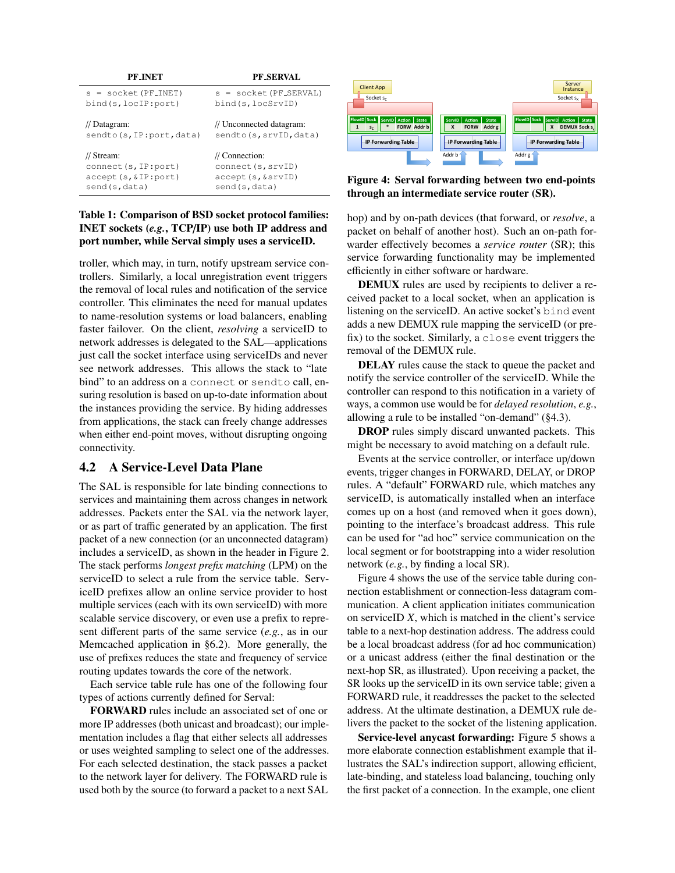<span id="page-5-1"></span>

| PF INET                  | PF SERVAL                 |
|--------------------------|---------------------------|
| $s = socket (PF_ INET)$  | s = socket (PF_SERVAL)    |
| bind(s, locIP: port)     | bind(s, locSrvID)         |
| // Datagram:             | // Unconnected datagram:  |
| sendto(s, IP:port, data) | sendto (s, srvID, data)   |
| // Stream:               | $\frac{1}{2}$ Connection: |
| connect (s, IP: port)    | connect (s, srvID)        |
| $accept(s, \&IP:port)$   | accept (s, &srvID)        |
| send(s,data)             | send(s,data)              |

### Table 1: Comparison of BSD socket protocol families: INET sockets (*e.g.*, TCP/IP) use both IP address and port number, while Serval simply uses a serviceID.

troller, which may, in turn, notify upstream service controllers. Similarly, a local unregistration event triggers the removal of local rules and notification of the service controller. This eliminates the need for manual updates to name-resolution systems or load balancers, enabling faster failover. On the client, *resolving* a serviceID to network addresses is delegated to the SAL—applications just call the socket interface using serviceIDs and never see network addresses. This allows the stack to "late bind" to an address on a connect or sendto call, ensuring resolution is based on up-to-date information about the instances providing the service. By hiding addresses from applications, the stack can freely change addresses when either end-point moves, without disrupting ongoing connectivity.

### <span id="page-5-0"></span>4.2 A Service-Level Data Plane

The SAL is responsible for late binding connections to services and maintaining them across changes in network addresses. Packets enter the SAL via the network layer, or as part of traffic generated by an application. The first packet of a new connection (or an unconnected datagram) includes a serviceID, as shown in the header in Figure [2.](#page-3-0) The stack performs *longest prefix matching* (LPM) on the serviceID to select a rule from the service table. ServiceID prefixes allow an online service provider to host multiple services (each with its own serviceID) with more scalable service discovery, or even use a prefix to represent different parts of the same service (*e.g.*, as in our Memcached application in [§6.2\)](#page-11-0). More generally, the use of prefixes reduces the state and frequency of service routing updates towards the core of the network.

Each service table rule has one of the following four types of actions currently defined for Serval:

FORWARD rules include an associated set of one or more IP addresses (both unicast and broadcast); our implementation includes a flag that either selects all addresses or uses weighted sampling to select one of the addresses. For each selected destination, the stack passes a packet to the network layer for delivery. The FORWARD rule is used both by the source (to forward a packet to a next SAL

<span id="page-5-2"></span>

Figure 4: Serval forwarding between two end-points through an intermediate service router (SR).

hop) and by on-path devices (that forward, or *resolve*, a packet on behalf of another host). Such an on-path forwarder effectively becomes a *service router* (SR); this service forwarding functionality may be implemented efficiently in either software or hardware.

DEMUX rules are used by recipients to deliver a received packet to a local socket, when an application is listening on the serviceID. An active socket's bind event adds a new DEMUX rule mapping the serviceID (or prefix) to the socket. Similarly, a close event triggers the removal of the DEMUX rule.

DELAY rules cause the stack to queue the packet and notify the service controller of the serviceID. While the controller can respond to this notification in a variety of ways, a common use would be for *delayed resolution*, *e.g.*, allowing a rule to be installed "on-demand" ([§4.3\)](#page-6-0).

DROP rules simply discard unwanted packets. This might be necessary to avoid matching on a default rule.

Events at the service controller, or interface up/down events, trigger changes in FORWARD, DELAY, or DROP rules. A "default" FORWARD rule, which matches any serviceID, is automatically installed when an interface comes up on a host (and removed when it goes down), pointing to the interface's broadcast address. This rule can be used for "ad hoc" service communication on the local segment or for bootstrapping into a wider resolution network (*e.g.*, by finding a local SR).

Figure [4](#page-5-2) shows the use of the service table during connection establishment or connection-less datagram communication. A client application initiates communication on serviceID *X*, which is matched in the client's service table to a next-hop destination address. The address could be a local broadcast address (for ad hoc communication) or a unicast address (either the final destination or the next-hop SR, as illustrated). Upon receiving a packet, the SR looks up the serviceID in its own service table; given a FORWARD rule, it readdresses the packet to the selected address. At the ultimate destination, a DEMUX rule delivers the packet to the socket of the listening application.

Service-level anycast forwarding: Figure [5](#page-6-1) shows a more elaborate connection establishment example that illustrates the SAL's indirection support, allowing efficient, late-binding, and stateless load balancing, touching only the first packet of a connection. In the example, one client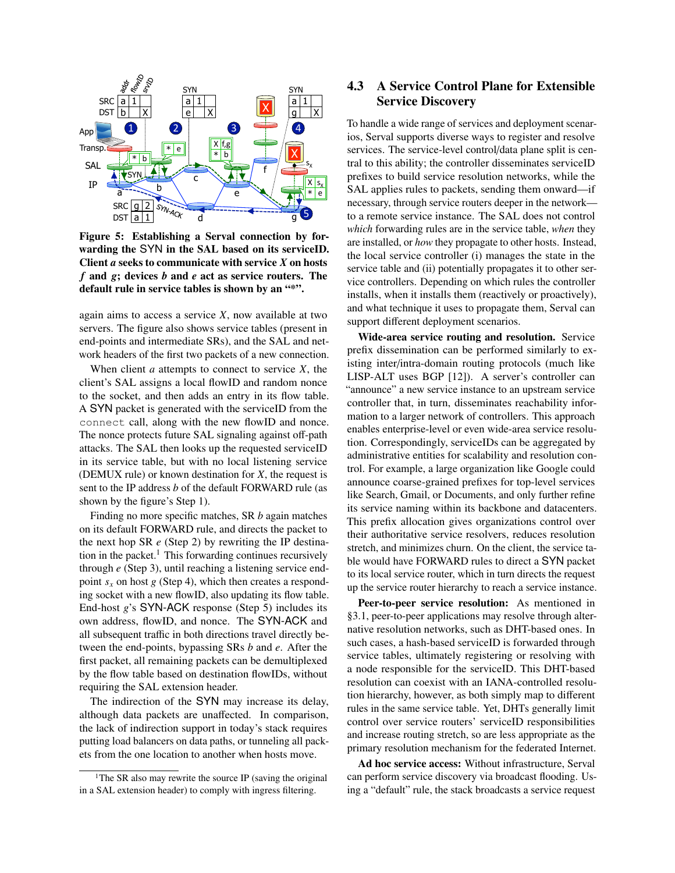<span id="page-6-1"></span>

Figure 5: Establishing a Serval connection by forwarding the SYN in the SAL based on its serviceID. Client *a* seeks to communicate with service *X* on hosts *f* and *g*; devices *b* and *e* act as service routers. The default rule in service tables is shown by an "\*".

again aims to access a service *X*, now available at two servers. The figure also shows service tables (present in end-points and intermediate SRs), and the SAL and network headers of the first two packets of a new connection.

When client *a* attempts to connect to service *X*, the client's SAL assigns a local flowID and random nonce to the socket, and then adds an entry in its flow table. A SYN packet is generated with the serviceID from the connect call, along with the new flowID and nonce. The nonce protects future SAL signaling against off-path attacks. The SAL then looks up the requested serviceID in its service table, but with no local listening service (DEMUX rule) or known destination for *X*, the request is sent to the IP address *b* of the default FORWARD rule (as shown by the figure's Step 1).

Finding no more specific matches, SR *b* again matches on its default FORWARD rule, and directs the packet to the next hop SR *e* (Step 2) by rewriting the IP destina-tion in the packet.<sup>[1](#page-6-2)</sup> This forwarding continues recursively through *e* (Step 3), until reaching a listening service endpoint  $s_x$  on host *g* (Step 4), which then creates a responding socket with a new flowID, also updating its flow table. End-host *g*'s SYN-ACK response (Step 5) includes its own address, flowID, and nonce. The SYN-ACK and all subsequent traffic in both directions travel directly between the end-points, bypassing SRs *b* and *e*. After the first packet, all remaining packets can be demultiplexed by the flow table based on destination flowIDs, without requiring the SAL extension header.

The indirection of the SYN may increase its delay, although data packets are unaffected. In comparison, the lack of indirection support in today's stack requires putting load balancers on data paths, or tunneling all packets from the one location to another when hosts move.

### <span id="page-6-0"></span>4.3 A Service Control Plane for Extensible Service Discovery

To handle a wide range of services and deployment scenarios, Serval supports diverse ways to register and resolve services. The service-level control/data plane split is central to this ability; the controller disseminates serviceID prefixes to build service resolution networks, while the SAL applies rules to packets, sending them onward—if necessary, through service routers deeper in the network to a remote service instance. The SAL does not control *which* forwarding rules are in the service table, *when* they are installed, or *how* they propagate to other hosts. Instead, the local service controller (i) manages the state in the service table and (ii) potentially propagates it to other service controllers. Depending on which rules the controller installs, when it installs them (reactively or proactively), and what technique it uses to propagate them, Serval can support different deployment scenarios.

Wide-area service routing and resolution. Service prefix dissemination can be performed similarly to existing inter/intra-domain routing protocols (much like LISP-ALT uses BGP [\[12\]](#page-13-27)). A server's controller can "announce" a new service instance to an upstream service controller that, in turn, disseminates reachability information to a larger network of controllers. This approach enables enterprise-level or even wide-area service resolution. Correspondingly, serviceIDs can be aggregated by administrative entities for scalability and resolution control. For example, a large organization like Google could announce coarse-grained prefixes for top-level services like Search, Gmail, or Documents, and only further refine its service naming within its backbone and datacenters. This prefix allocation gives organizations control over their authoritative service resolvers, reduces resolution stretch, and minimizes churn. On the client, the service table would have FORWARD rules to direct a SYN packet to its local service router, which in turn directs the request up the service router hierarchy to reach a service instance.

Peer-to-peer service resolution: As mentioned in [§3.1,](#page-2-1) peer-to-peer applications may resolve through alternative resolution networks, such as DHT-based ones. In such cases, a hash-based serviceID is forwarded through service tables, ultimately registering or resolving with a node responsible for the serviceID. This DHT-based resolution can coexist with an IANA-controlled resolution hierarchy, however, as both simply map to different rules in the same service table. Yet, DHTs generally limit control over service routers' serviceID responsibilities and increase routing stretch, so are less appropriate as the primary resolution mechanism for the federated Internet.

Ad hoc service access: Without infrastructure, Serval can perform service discovery via broadcast flooding. Using a "default" rule, the stack broadcasts a service request

<span id="page-6-2"></span><sup>&</sup>lt;sup>1</sup>The SR also may rewrite the source IP (saving the original in a SAL extension header) to comply with ingress filtering.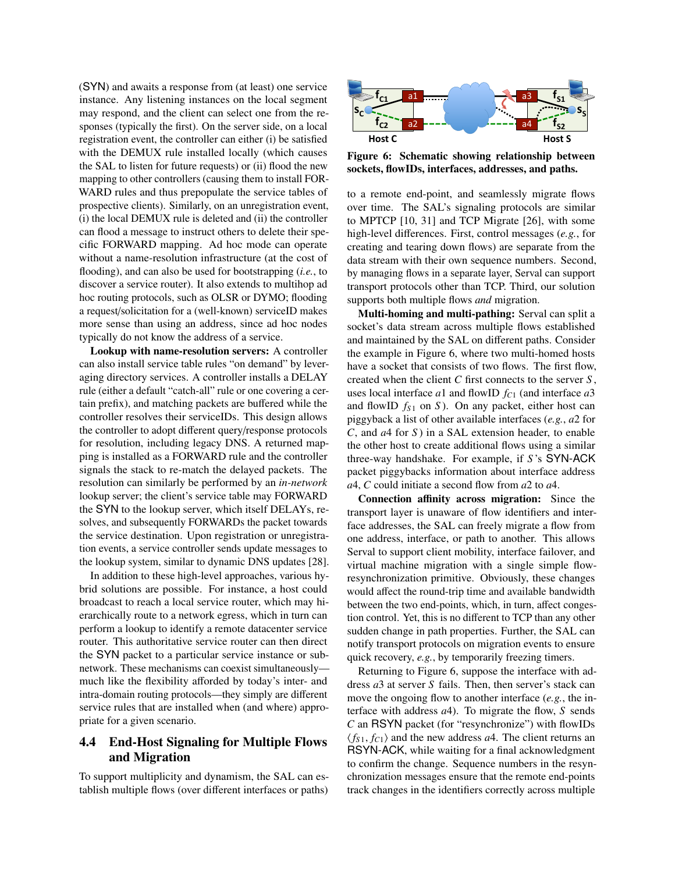(SYN) and awaits a response from (at least) one service instance. Any listening instances on the local segment may respond, and the client can select one from the responses (typically the first). On the server side, on a local registration event, the controller can either (i) be satisfied with the DEMUX rule installed locally (which causes the SAL to listen for future requests) or (ii) flood the new mapping to other controllers (causing them to install FOR-WARD rules and thus prepopulate the service tables of prospective clients). Similarly, on an unregistration event, (i) the local DEMUX rule is deleted and (ii) the controller can flood a message to instruct others to delete their specific FORWARD mapping. Ad hoc mode can operate without a name-resolution infrastructure (at the cost of flooding), and can also be used for bootstrapping (*i.e.*, to discover a service router). It also extends to multihop ad hoc routing protocols, such as OLSR or DYMO; flooding a request/solicitation for a (well-known) serviceID makes more sense than using an address, since ad hoc nodes typically do not know the address of a service.

Lookup with name-resolution servers: A controller can also install service table rules "on demand" by leveraging directory services. A controller installs a DELAY rule (either a default "catch-all" rule or one covering a certain prefix), and matching packets are buffered while the controller resolves their serviceIDs. This design allows the controller to adopt different query/response protocols for resolution, including legacy DNS. A returned mapping is installed as a FORWARD rule and the controller signals the stack to re-match the delayed packets. The resolution can similarly be performed by an *in-network* lookup server; the client's service table may FORWARD the SYN to the lookup server, which itself DELAYs, resolves, and subsequently FORWARDs the packet towards the service destination. Upon registration or unregistration events, a service controller sends update messages to the lookup system, similar to dynamic DNS updates [\[28\]](#page-13-28).

In addition to these high-level approaches, various hybrid solutions are possible. For instance, a host could broadcast to reach a local service router, which may hierarchically route to a network egress, which in turn can perform a lookup to identify a remote datacenter service router. This authoritative service router can then direct the SYN packet to a particular service instance or subnetwork. These mechanisms can coexist simultaneously much like the flexibility afforded by today's inter- and intra-domain routing protocols—they simply are different service rules that are installed when (and where) appropriate for a given scenario.

### <span id="page-7-0"></span>4.4 End-Host Signaling for Multiple Flows and Migration

To support multiplicity and dynamism, the SAL can establish multiple flows (over different interfaces or paths)

<span id="page-7-1"></span>

Figure 6: Schematic showing relationship between sockets, flowIDs, interfaces, addresses, and paths.

to a remote end-point, and seamlessly migrate flows over time. The SAL's signaling protocols are similar to MPTCP [\[10,](#page-13-8) [31\]](#page-13-9) and TCP Migrate [\[26\]](#page-13-7), with some high-level differences. First, control messages (*e.g.*, for creating and tearing down flows) are separate from the data stream with their own sequence numbers. Second, by managing flows in a separate layer, Serval can support transport protocols other than TCP. Third, our solution supports both multiple flows *and* migration.

Multi-homing and multi-pathing: Serval can split a socket's data stream across multiple flows established and maintained by the SAL on different paths. Consider the example in Figure [6,](#page-7-1) where two multi-homed hosts have a socket that consists of two flows. The first flow, created when the client *C* first connects to the server *S* , uses local interface *a*1 and flowID *f<sup>C</sup>*<sup>1</sup> (and interface *a*3 and flowID  $f_{S1}$  on *S*). On any packet, either host can piggyback a list of other available interfaces (*e.g.*, *a*2 for *C*, and *a*4 for *S* ) in a SAL extension header, to enable the other host to create additional flows using a similar three-way handshake. For example, if *S* 's SYN-ACK packet piggybacks information about interface address *a*4, *C* could initiate a second flow from *a*2 to *a*4.

Connection affinity across migration: Since the transport layer is unaware of flow identifiers and interface addresses, the SAL can freely migrate a flow from one address, interface, or path to another. This allows Serval to support client mobility, interface failover, and virtual machine migration with a single simple flowresynchronization primitive. Obviously, these changes would affect the round-trip time and available bandwidth between the two end-points, which, in turn, affect congestion control. Yet, this is no different to TCP than any other sudden change in path properties. Further, the SAL can notify transport protocols on migration events to ensure quick recovery, *e.g.*, by temporarily freezing timers.

Returning to Figure [6,](#page-7-1) suppose the interface with address *a*3 at server *S* fails. Then, then server's stack can move the ongoing flow to another interface (*e.g.*, the interface with address *a*4). To migrate the flow, *S* sends *C* an RSYN packet (for "resynchronize") with flowIDs  $\langle f_{S1}, f_{C1} \rangle$  and the new address *a*4. The client returns an RSYN-ACK, while waiting for a final acknowledgment to confirm the change. Sequence numbers in the resynchronization messages ensure that the remote end-points track changes in the identifiers correctly across multiple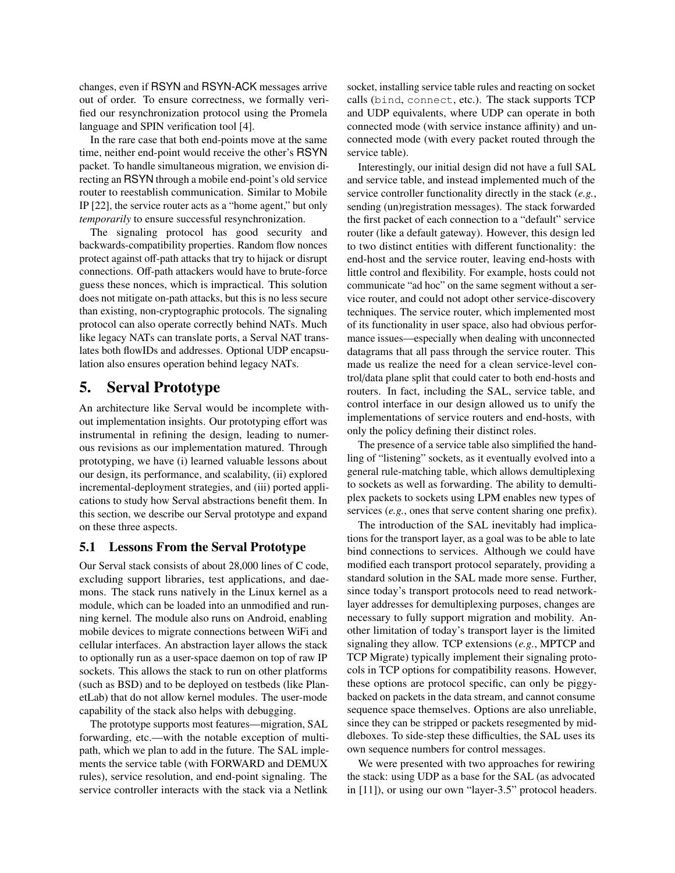changes, even if RSYN and RSYN-ACK messages arrive out of order. To ensure correctness, we formally verified our resynchronization protocol using the Promela language and SPIN verification tool [\[4\]](#page-13-29).

In the rare case that both end-points move at the same time, neither end-point would receive the other's RSYN packet. To handle simultaneous migration, we envision directing an RSYN through a mobile end-point's old service router to reestablish communication. Similar to Mobile IP [\[22\]](#page-13-13), the service router acts as a "home agent," but only *temporarily* to ensure successful resynchronization.

The signaling protocol has good security and backwards-compatibility properties. Random flow nonces protect against off-path attacks that try to hijack or disrupt connections. Off-path attackers would have to brute-force guess these nonces, which is impractical. This solution does not mitigate on-path attacks, but this is no less secure than existing, non-cryptographic protocols. The signaling protocol can also operate correctly behind NATs. Much like legacy NATs can translate ports, a Serval NAT translates both flowIDs and addresses. Optional UDP encapsulation also ensures operation behind legacy NATs.

# <span id="page-8-0"></span>5. Serval Prototype

An architecture like Serval would be incomplete without implementation insights. Our prototyping effort was instrumental in refining the design, leading to numerous revisions as our implementation matured. Through prototyping, we have (i) learned valuable lessons about our design, its performance, and scalability, (ii) explored incremental-deployment strategies, and (iii) ported applications to study how Serval abstractions benefit them. In this section, we describe our Serval prototype and expand on these three aspects.

### 5.1 Lessons From the Serval Prototype

Our Serval stack consists of about 28,000 lines of C code, excluding support libraries, test applications, and daemons. The stack runs natively in the Linux kernel as a module, which can be loaded into an unmodified and running kernel. The module also runs on Android, enabling mobile devices to migrate connections between WiFi and cellular interfaces. An abstraction layer allows the stack to optionally run as a user-space daemon on top of raw IP sockets. This allows the stack to run on other platforms (such as BSD) and to be deployed on testbeds (like PlanetLab) that do not allow kernel modules. The user-mode capability of the stack also helps with debugging.

The prototype supports most features—migration, SAL forwarding, etc.—with the notable exception of multipath, which we plan to add in the future. The SAL implements the service table (with FORWARD and DEMUX rules), service resolution, and end-point signaling. The service controller interacts with the stack via a Netlink

socket, installing service table rules and reacting on socket calls (bind, connect, etc.). The stack supports TCP and UDP equivalents, where UDP can operate in both connected mode (with service instance affinity) and unconnected mode (with every packet routed through the service table).

Interestingly, our initial design did not have a full SAL and service table, and instead implemented much of the service controller functionality directly in the stack (*e.g.*, sending (un)registration messages). The stack forwarded the first packet of each connection to a "default" service router (like a default gateway). However, this design led to two distinct entities with different functionality: the end-host and the service router, leaving end-hosts with little control and flexibility. For example, hosts could not communicate "ad hoc" on the same segment without a service router, and could not adopt other service-discovery techniques. The service router, which implemented most of its functionality in user space, also had obvious performance issues—especially when dealing with unconnected datagrams that all pass through the service router. This made us realize the need for a clean service-level control/data plane split that could cater to both end-hosts and routers. In fact, including the SAL, service table, and control interface in our design allowed us to unify the implementations of service routers and end-hosts, with only the policy defining their distinct roles.

The presence of a service table also simplified the handling of "listening" sockets, as it eventually evolved into a general rule-matching table, which allows demultiplexing to sockets as well as forwarding. The ability to demultiplex packets to sockets using LPM enables new types of services (*e.g.*, ones that serve content sharing one prefix).

The introduction of the SAL inevitably had implications for the transport layer, as a goal was to be able to late bind connections to services. Although we could have modified each transport protocol separately, providing a standard solution in the SAL made more sense. Further, since today's transport protocols need to read networklayer addresses for demultiplexing purposes, changes are necessary to fully support migration and mobility. Another limitation of today's transport layer is the limited signaling they allow. TCP extensions (*e.g.*, MPTCP and TCP Migrate) typically implement their signaling protocols in TCP options for compatibility reasons. However, these options are protocol specific, can only be piggybacked on packets in the data stream, and cannot consume sequence space themselves. Options are also unreliable, since they can be stripped or packets resegmented by middleboxes. To side-step these difficulties, the SAL uses its own sequence numbers for control messages.

We were presented with two approaches for rewiring the stack: using UDP as a base for the SAL (as advocated in [\[11\]](#page-13-15)), or using our own "layer-3.5" protocol headers.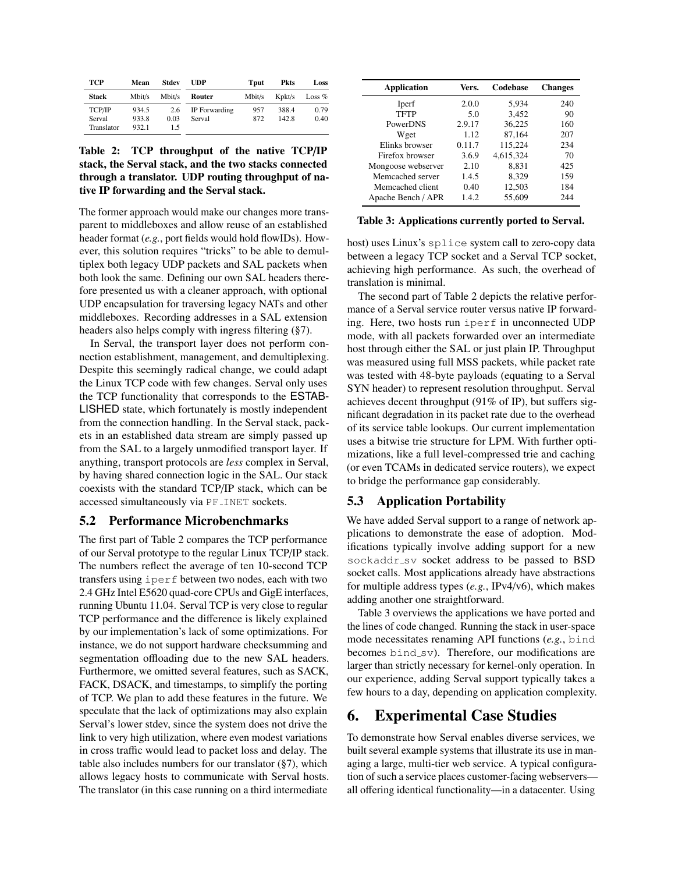<span id="page-9-2"></span>

| <b>TCP</b>   | Mean   | Stdev  | <b>UDP</b>    | Tput   | <b>Pkts</b>  | Loss     |
|--------------|--------|--------|---------------|--------|--------------|----------|
| <b>Stack</b> | Mbit/s | Mbit/s | Router        | Mbit/s | $K$ p $kt/s$ | Loss $%$ |
| TCP/IP       | 934.5  | 2.6    | IP Forwarding | 957    | 388.4        | 0.79     |
| Serval       | 933.8  | 0.03   | Serval        | 872    | 142.8        | 0.40     |
| Translator   | 932.1  | 1.5    |               |        |              |          |

Table 2: TCP throughput of the native TCP/IP stack, the Serval stack, and the two stacks connected through a translator. UDP routing throughput of native IP forwarding and the Serval stack.

The former approach would make our changes more transparent to middleboxes and allow reuse of an established header format (*e.g.*, port fields would hold flowIDs). However, this solution requires "tricks" to be able to demultiplex both legacy UDP packets and SAL packets when both look the same. Defining our own SAL headers therefore presented us with a cleaner approach, with optional UDP encapsulation for traversing legacy NATs and other middleboxes. Recording addresses in a SAL extension headers also helps comply with ingress filtering ([§7\)](#page-12-0).

In Serval, the transport layer does not perform connection establishment, management, and demultiplexing. Despite this seemingly radical change, we could adapt the Linux TCP code with few changes. Serval only uses the TCP functionality that corresponds to the ESTAB-LISHED state, which fortunately is mostly independent from the connection handling. In the Serval stack, packets in an established data stream are simply passed up from the SAL to a largely unmodified transport layer. If anything, transport protocols are *less* complex in Serval, by having shared connection logic in the SAL. Our stack coexists with the standard TCP/IP stack, which can be accessed simultaneously via PF INET sockets.

### <span id="page-9-4"></span>5.2 Performance Microbenchmarks

The first part of Table [2](#page-9-2) compares the TCP performance of our Serval prototype to the regular Linux TCP/IP stack. The numbers reflect the average of ten 10-second TCP transfers using iperf between two nodes, each with two 2.4 GHz Intel E5620 quad-core CPUs and GigE interfaces, running Ubuntu 11.04. Serval TCP is very close to regular TCP performance and the difference is likely explained by our implementation's lack of some optimizations. For instance, we do not support hardware checksumming and segmentation offloading due to the new SAL headers. Furthermore, we omitted several features, such as SACK, FACK, DSACK, and timestamps, to simplify the porting of TCP. We plan to add these features in the future. We speculate that the lack of optimizations may also explain Serval's lower stdev, since the system does not drive the link to very high utilization, where even modest variations in cross traffic would lead to packet loss and delay. The table also includes numbers for our translator ([§7\)](#page-12-0), which allows legacy hosts to communicate with Serval hosts. The translator (in this case running on a third intermediate

<span id="page-9-3"></span>

| Application        | Vers.  | Codebase  | <b>Changes</b> |
|--------------------|--------|-----------|----------------|
| Iperf              | 2.0.0  | 5.934     | 240            |
| <b>TFTP</b>        | 5.0    | 3,452     | 90             |
| PowerDNS           | 2.9.17 | 36,225    | 160            |
| Wget               | 1.12   | 87,164    | 207            |
| Elinks browser     | 0.11.7 | 115,224   | 234            |
| Firefox browser    | 3.6.9  | 4,615,324 | 70             |
| Mongoose webserver | 2.10   | 8,831     | 425            |
| Memcached server   | 1.4.5  | 8,329     | 159            |
| Memcached client   | 0.40   | 12,503    | 184            |
| Apache Bench / APR | 1.4.2  | 55,609    | 244            |

Table 3: Applications currently ported to Serval.

host) uses Linux's splice system call to zero-copy data between a legacy TCP socket and a Serval TCP socket, achieving high performance. As such, the overhead of translation is minimal.

The second part of Table [2](#page-9-2) depicts the relative performance of a Serval service router versus native IP forwarding. Here, two hosts run iperf in unconnected UDP mode, with all packets forwarded over an intermediate host through either the SAL or just plain IP. Throughput was measured using full MSS packets, while packet rate was tested with 48-byte payloads (equating to a Serval SYN header) to represent resolution throughput. Serval achieves decent throughput (91% of IP), but suffers significant degradation in its packet rate due to the overhead of its service table lookups. Our current implementation uses a bitwise trie structure for LPM. With further optimizations, like a full level-compressed trie and caching (or even TCAMs in dedicated service routers), we expect to bridge the performance gap considerably.

### <span id="page-9-1"></span>5.3 Application Portability

We have added Serval support to a range of network applications to demonstrate the ease of adoption. Modifications typically involve adding support for a new sockaddr\_sv socket address to be passed to BSD socket calls. Most applications already have abstractions for multiple address types (*e.g.*, IPv4/v6), which makes adding another one straightforward.

Table [3](#page-9-3) overviews the applications we have ported and the lines of code changed. Running the stack in user-space mode necessitates renaming API functions (*e.g.*, bind becomes bind\_sv). Therefore, our modifications are larger than strictly necessary for kernel-only operation. In our experience, adding Serval support typically takes a few hours to a day, depending on application complexity.

# <span id="page-9-0"></span>6. Experimental Case Studies

To demonstrate how Serval enables diverse services, we built several example systems that illustrate its use in managing a large, multi-tier web service. A typical configuration of such a service places customer-facing webservers all offering identical functionality—in a datacenter. Using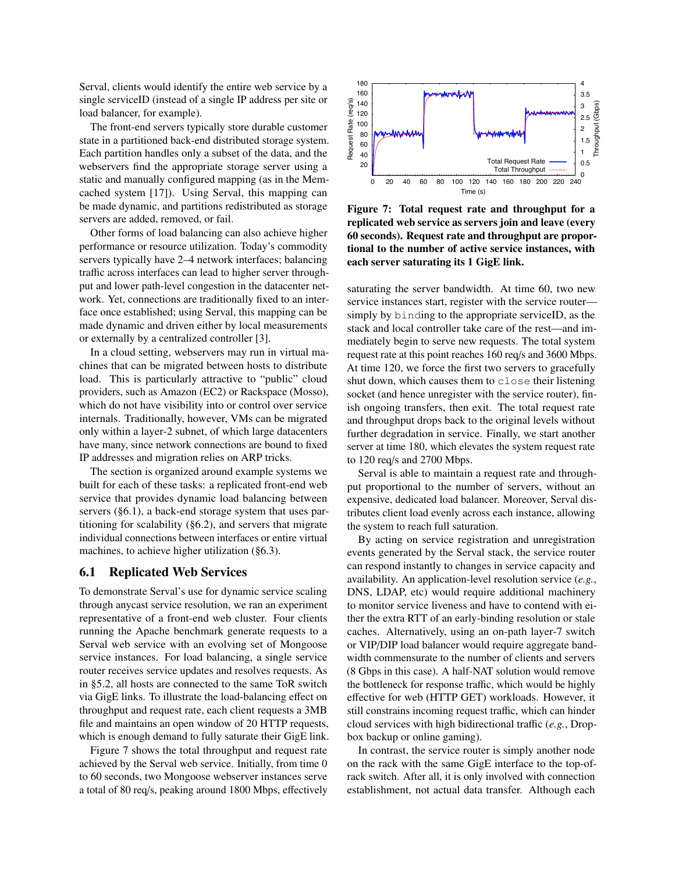Serval, clients would identify the entire web service by a single serviceID (instead of a single IP address per site or load balancer, for example).

The front-end servers typically store durable customer state in a partitioned back-end distributed storage system. Each partition handles only a subset of the data, and the webservers find the appropriate storage server using a static and manually configured mapping (as in the Memcached system [\[17\]](#page-13-30)). Using Serval, this mapping can be made dynamic, and partitions redistributed as storage servers are added, removed, or fail.

Other forms of load balancing can also achieve higher performance or resource utilization. Today's commodity servers typically have 2–4 network interfaces; balancing traffic across interfaces can lead to higher server throughput and lower path-level congestion in the datacenter network. Yet, connections are traditionally fixed to an interface once established; using Serval, this mapping can be made dynamic and driven either by local measurements or externally by a centralized controller [\[3\]](#page-13-31).

In a cloud setting, webservers may run in virtual machines that can be migrated between hosts to distribute load. This is particularly attractive to "public" cloud providers, such as Amazon (EC2) or Rackspace (Mosso), which do not have visibility into or control over service internals. Traditionally, however, VMs can be migrated only within a layer-2 subnet, of which large datacenters have many, since network connections are bound to fixed IP addresses and migration relies on ARP tricks.

The section is organized around example systems we built for each of these tasks: a replicated front-end web service that provides dynamic load balancing between servers ([§6.1\)](#page-10-0), a back-end storage system that uses partitioning for scalability ([§6.2\)](#page-11-0), and servers that migrate individual connections between interfaces or entire virtual machines, to achieve higher utilization ([§6.3\)](#page-11-1).

#### <span id="page-10-0"></span>6.1 Replicated Web Services

To demonstrate Serval's use for dynamic service scaling through anycast service resolution, we ran an experiment representative of a front-end web cluster. Four clients running the Apache benchmark generate requests to a Serval web service with an evolving set of Mongoose service instances. For load balancing, a single service router receives service updates and resolves requests. As in [§5.2,](#page-9-4) all hosts are connected to the same ToR switch via GigE links. To illustrate the load-balancing effect on throughput and request rate, each client requests a 3MB file and maintains an open window of 20 HTTP requests, which is enough demand to fully saturate their GigE link.

Figure [7](#page-10-1) shows the total throughput and request rate achieved by the Serval web service. Initially, from time 0 to 60 seconds, two Mongoose webserver instances serve a total of 80 req/s, peaking around 1800 Mbps, effectively

<span id="page-10-1"></span>

Figure 7: Total request rate and throughput for a replicated web service as servers join and leave (every 60 seconds). Request rate and throughput are proportional to the number of active service instances, with each server saturating its 1 GigE link.

saturating the server bandwidth. At time 60, two new service instances start, register with the service router simply by binding to the appropriate serviceID, as the stack and local controller take care of the rest—and immediately begin to serve new requests. The total system request rate at this point reaches 160 req/s and 3600 Mbps. At time 120, we force the first two servers to gracefully shut down, which causes them to close their listening socket (and hence unregister with the service router), finish ongoing transfers, then exit. The total request rate and throughput drops back to the original levels without further degradation in service. Finally, we start another server at time 180, which elevates the system request rate to 120 req/s and 2700 Mbps.

Serval is able to maintain a request rate and throughput proportional to the number of servers, without an expensive, dedicated load balancer. Moreover, Serval distributes client load evenly across each instance, allowing the system to reach full saturation.

By acting on service registration and unregistration events generated by the Serval stack, the service router can respond instantly to changes in service capacity and availability. An application-level resolution service (*e.g.*, DNS, LDAP, etc) would require additional machinery to monitor service liveness and have to contend with either the extra RTT of an early-binding resolution or stale caches. Alternatively, using an on-path layer-7 switch or VIP/DIP load balancer would require aggregate bandwidth commensurate to the number of clients and servers (8 Gbps in this case). A half-NAT solution would remove the bottleneck for response traffic, which would be highly effective for web (HTTP GET) workloads. However, it still constrains incoming request traffic, which can hinder cloud services with high bidirectional traffic (*e.g.*, Dropbox backup or online gaming).

In contrast, the service router is simply another node on the rack with the same GigE interface to the top-ofrack switch. After all, it is only involved with connection establishment, not actual data transfer. Although each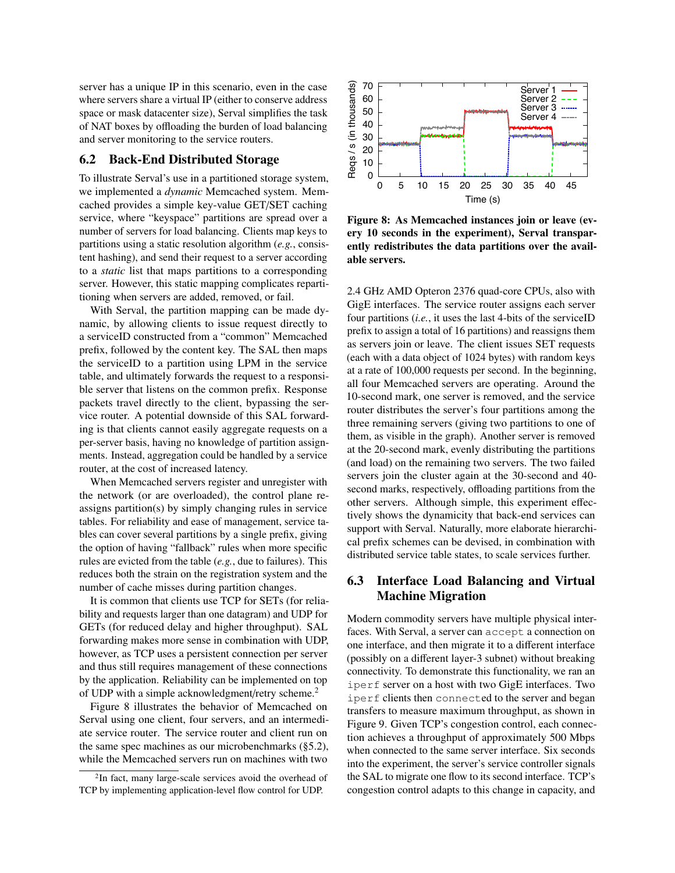server has a unique IP in this scenario, even in the case where servers share a virtual IP (either to conserve address space or mask datacenter size), Serval simplifies the task of NAT boxes by offloading the burden of load balancing and server monitoring to the service routers.

#### <span id="page-11-0"></span>6.2 Back-End Distributed Storage

To illustrate Serval's use in a partitioned storage system, we implemented a *dynamic* Memcached system. Memcached provides a simple key-value GET/SET caching service, where "keyspace" partitions are spread over a number of servers for load balancing. Clients map keys to partitions using a static resolution algorithm (*e.g.*, consistent hashing), and send their request to a server according to a *static* list that maps partitions to a corresponding server. However, this static mapping complicates repartitioning when servers are added, removed, or fail.

With Serval, the partition mapping can be made dynamic, by allowing clients to issue request directly to a serviceID constructed from a "common" Memcached prefix, followed by the content key. The SAL then maps the serviceID to a partition using LPM in the service table, and ultimately forwards the request to a responsible server that listens on the common prefix. Response packets travel directly to the client, bypassing the service router. A potential downside of this SAL forwarding is that clients cannot easily aggregate requests on a per-server basis, having no knowledge of partition assignments. Instead, aggregation could be handled by a service router, at the cost of increased latency.

When Memcached servers register and unregister with the network (or are overloaded), the control plane reassigns partition(s) by simply changing rules in service tables. For reliability and ease of management, service tables can cover several partitions by a single prefix, giving the option of having "fallback" rules when more specific rules are evicted from the table (*e.g.*, due to failures). This reduces both the strain on the registration system and the number of cache misses during partition changes.

It is common that clients use TCP for SETs (for reliability and requests larger than one datagram) and UDP for GETs (for reduced delay and higher throughput). SAL forwarding makes more sense in combination with UDP, however, as TCP uses a persistent connection per server and thus still requires management of these connections by the application. Reliability can be implemented on top of UDP with a simple acknowledgment/retry scheme.<sup>[2](#page-11-2)</sup>

Figure [8](#page-11-3) illustrates the behavior of Memcached on Serval using one client, four servers, and an intermediate service router. The service router and client run on the same spec machines as our microbenchmarks ([§5.2\)](#page-9-4), while the Memcached servers run on machines with two

<span id="page-11-3"></span>

Figure 8: As Memcached instances join or leave (every 10 seconds in the experiment), Serval transparently redistributes the data partitions over the available servers.

2.4 GHz AMD Opteron 2376 quad-core CPUs, also with GigE interfaces. The service router assigns each server four partitions (*i.e.*, it uses the last 4-bits of the serviceID prefix to assign a total of 16 partitions) and reassigns them as servers join or leave. The client issues SET requests (each with a data object of 1024 bytes) with random keys at a rate of 100,000 requests per second. In the beginning, all four Memcached servers are operating. Around the 10-second mark, one server is removed, and the service router distributes the server's four partitions among the three remaining servers (giving two partitions to one of them, as visible in the graph). Another server is removed at the 20-second mark, evenly distributing the partitions (and load) on the remaining two servers. The two failed servers join the cluster again at the 30-second and 40 second marks, respectively, offloading partitions from the other servers. Although simple, this experiment effectively shows the dynamicity that back-end services can support with Serval. Naturally, more elaborate hierarchical prefix schemes can be devised, in combination with distributed service table states, to scale services further.

### <span id="page-11-1"></span>6.3 Interface Load Balancing and Virtual Machine Migration

Modern commodity servers have multiple physical interfaces. With Serval, a server can accept a connection on one interface, and then migrate it to a different interface (possibly on a different layer-3 subnet) without breaking connectivity. To demonstrate this functionality, we ran an iperf server on a host with two GigE interfaces. Two iperf clients then connected to the server and began transfers to measure maximum throughput, as shown in Figure [9.](#page-12-1) Given TCP's congestion control, each connection achieves a throughput of approximately 500 Mbps when connected to the same server interface. Six seconds into the experiment, the server's service controller signals the SAL to migrate one flow to its second interface. TCP's congestion control adapts to this change in capacity, and

<span id="page-11-2"></span><sup>2</sup> In fact, many large-scale services avoid the overhead of TCP by implementing application-level flow control for UDP.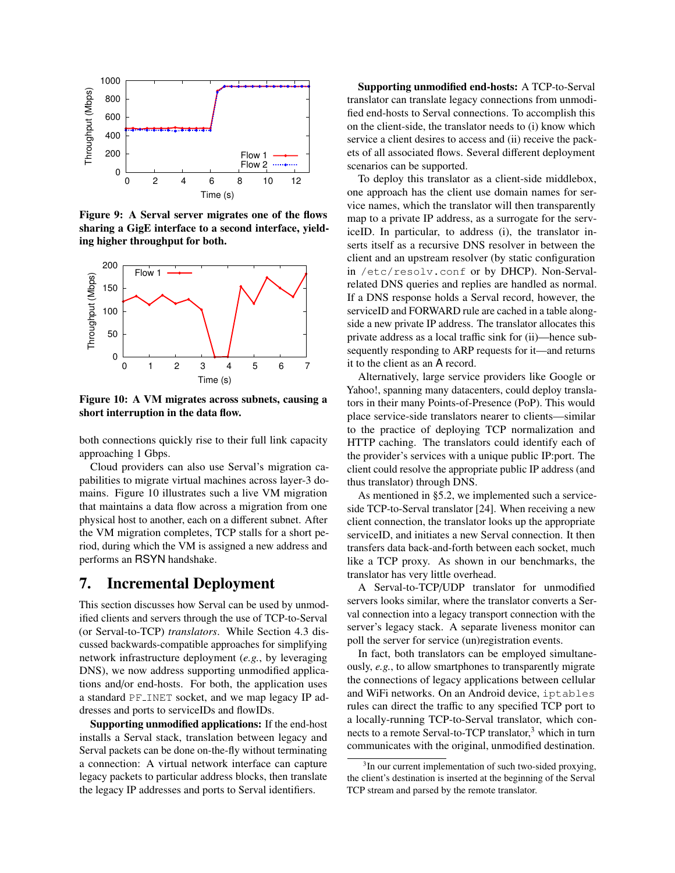<span id="page-12-1"></span>

Figure 9: A Serval server migrates one of the flows sharing a GigE interface to a second interface, yielding higher throughput for both.

<span id="page-12-2"></span>

Figure 10: A VM migrates across subnets, causing a short interruption in the data flow.

both connections quickly rise to their full link capacity approaching 1 Gbps.

Cloud providers can also use Serval's migration capabilities to migrate virtual machines across layer-3 domains. Figure [10](#page-12-2) illustrates such a live VM migration that maintains a data flow across a migration from one physical host to another, each on a different subnet. After the VM migration completes, TCP stalls for a short period, during which the VM is assigned a new address and performs an RSYN handshake.

### <span id="page-12-0"></span>7. Incremental Deployment

This section discusses how Serval can be used by unmodified clients and servers through the use of TCP-to-Serval (or Serval-to-TCP) *translators*. While Section [4.3](#page-6-0) discussed backwards-compatible approaches for simplifying network infrastructure deployment (*e.g.*, by leveraging DNS), we now address supporting unmodified applications and/or end-hosts. For both, the application uses a standard PF INET socket, and we map legacy IP addresses and ports to serviceIDs and flowIDs.

Supporting unmodified applications: If the end-host installs a Serval stack, translation between legacy and Serval packets can be done on-the-fly without terminating a connection: A virtual network interface can capture legacy packets to particular address blocks, then translate the legacy IP addresses and ports to Serval identifiers.

Supporting unmodified end-hosts: A TCP-to-Serval translator can translate legacy connections from unmodified end-hosts to Serval connections. To accomplish this on the client-side, the translator needs to (i) know which service a client desires to access and (ii) receive the packets of all associated flows. Several different deployment scenarios can be supported.

To deploy this translator as a client-side middlebox, one approach has the client use domain names for service names, which the translator will then transparently map to a private IP address, as a surrogate for the serviceID. In particular, to address (i), the translator inserts itself as a recursive DNS resolver in between the client and an upstream resolver (by static configuration in /etc/resolv.conf or by DHCP). Non-Servalrelated DNS queries and replies are handled as normal. If a DNS response holds a Serval record, however, the serviceID and FORWARD rule are cached in a table alongside a new private IP address. The translator allocates this private address as a local traffic sink for (ii)—hence subsequently responding to ARP requests for it—and returns it to the client as an A record.

Alternatively, large service providers like Google or Yahoo!, spanning many datacenters, could deploy translators in their many Points-of-Presence (PoP). This would place service-side translators nearer to clients—similar to the practice of deploying TCP normalization and HTTP caching. The translators could identify each of the provider's services with a unique public IP:port. The client could resolve the appropriate public IP address (and thus translator) through DNS.

As mentioned in [§5.2,](#page-9-4) we implemented such a serviceside TCP-to-Serval translator [\[24\]](#page-13-32). When receiving a new client connection, the translator looks up the appropriate serviceID, and initiates a new Serval connection. It then transfers data back-and-forth between each socket, much like a TCP proxy. As shown in our benchmarks, the translator has very little overhead.

A Serval-to-TCP/UDP translator for unmodified servers looks similar, where the translator converts a Serval connection into a legacy transport connection with the server's legacy stack. A separate liveness monitor can poll the server for service (un)registration events.

In fact, both translators can be employed simultaneously, *e.g.*, to allow smartphones to transparently migrate the connections of legacy applications between cellular and WiFi networks. On an Android device, iptables rules can direct the traffic to any specified TCP port to a locally-running TCP-to-Serval translator, which con-nects to a remote Serval-to-TCP translator,<sup>[3](#page-12-3)</sup> which in turn communicates with the original, unmodified destination.

<span id="page-12-3"></span><sup>&</sup>lt;sup>3</sup>In our current implementation of such two-sided proxying, the client's destination is inserted at the beginning of the Serval TCP stream and parsed by the remote translator.